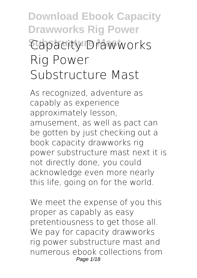# **Download Ebook Capacity Drawworks Rig Power Capacity Drawworks Rig Power Substructure Mast**

As recognized, adventure as capably as experience approximately lesson, amusement, as well as pact can be gotten by just checking out a book **capacity drawworks rig power substructure mast** next it is not directly done, you could acknowledge even more nearly this life, going on for the world.

We meet the expense of you this proper as capably as easy pretentiousness to get those all. We pay for capacity drawworks rig power substructure mast and numerous ebook collections from Page 1/18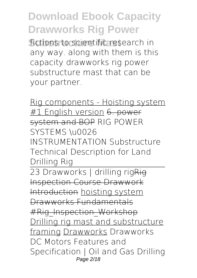**Substructure Mast** fictions to scientific research in any way. along with them is this capacity drawworks rig power substructure mast that can be your partner.

Rig components - Hoisting system #1 English version 6. power system and BOP *RIG POWER SYSTEMS \u0026 INSTRUMENTATION Substructure Technical Description for Land Drilling Rig* 23 Drawworks | drilling rigRig Inspection Course Drawwork Introduction hoisting system Drawworks Fundamentals #Rig\_Inspection\_Workshop

Drilling rig mast and substructure framing Drawworks **Drawworks DC Motors Features and Specification | Oil and Gas Drilling** Page 2/18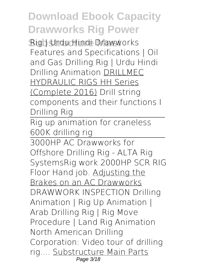**Substructure Mast Rig | Urdu Hindi** *Drawworks Features and Specifications | Oil and Gas Drilling Rig | Urdu Hindi* Drilling Animation DRILLMEC HYDRAULIC RIGS HH Series (Complete 2016) Drill string components and their functions I Drilling Rig

Rig up animation for craneless 600K drilling rig

3000HP AC Drawworks for Offshore Drilling Rig - ALTA Rig Systems*Rig work 2000HP SCR RIG Floor Hand job.* Adjusting the Brakes on an AC Drawworks *DRAWWORK INSPECTION* Drilling Animation | Rig Up Animation | Arab Drilling Rig | Rig Move Procedure | Land Rig Animation **North American Drilling Corporation: Video tour of drilling rig....** Substructure Main Parts Page 3/18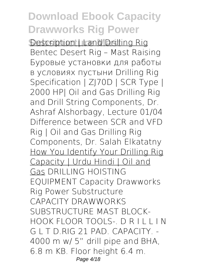**Description | Land Drilling Rig Bentec Desert Rig – Mast Raising Буровые установки для работы в условиях пустыни Drilling Rig Specification | ZJ70D | SCR Type | 2000 HP| Oil and Gas Drilling Rig and Drill String Components, Dr. Ashraf Alshorbagy, Lecture 01/04** *Difference between SCR and VFD Rig | Oil and Gas Drilling Rig Components, Dr. Salah Elkatatny* How You Identify Your Drilling Rig Capacity | Urdu Hindi | Oil and Gas **DRILLING HOISTING EQUIPMENT Capacity Drawworks Rig Power Substructure** CAPACITY DRAWWORKS SUBSTRUCTURE MAST BLOCK-HOOK FLOOR TOOLS-. D R I L L I N G L T D.RIG 21 PAD. CAPACITY. - 4000 m w/ 5" drill pipe and BHA, 6.8 m KB. Floor height 6.4 m. Page 4/18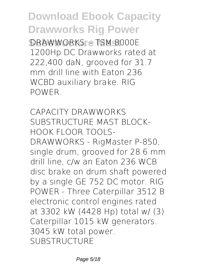**Substructure Mast** DRAWWORKS. - TSM 8000E 1200Hp DC Drawworks rated at 222,400 daN, grooved for 31.7 mm drill line with Eaton 236 WCBD auxiliary brake. RIG POWER.

**CAPACITY DRAWWORKS SUBSTRUCTURE MAST BLOCK-HOOK FLOOR TOOLS-**DRAWWORKS - RigMaster P-850, single drum, grooved for 28.6 mm drill line, c/w an Eaton 236 WCB disc brake on drum shaft powered by a single GE 752 DC motor. RIG POWER - Three Caterpillar 3512 B electronic control engines rated at 3302 kW (4428 Hp) total w/ (3) Caterpillar 1015 kW generators. 3045 kW total power. SUBSTRUCTURE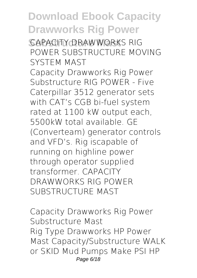**SCAPACITY DRAWWORKS RIG POWER SUBSTRUCTURE MOVING SYSTEM MAST** Capacity Drawworks Rig Power Substructure RIG POWER - Five Caterpillar 3512 generator sets with CAT's CGB bi-fuel system rated at 1100 kW output each, 5500kW total available. GE (Converteam) generator controls and VFD's. Rig iscapable of running on highline power through operator supplied transformer. CAPACITY DRAWWORKS RIG POWER SUBSTRUCTURE MAST

**Capacity Drawworks Rig Power Substructure Mast** Rig Type Drawworks HP Power Mast Capacity/Substructure WALK or SKID Mud Pumps Make PSI HP Page 6/18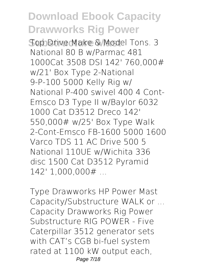**Substructure Mast** Top Drive Make & Model Tons. 3 National 80 B w/Parmac 481 1000Cat 3508 DSI 142' 760,000# w/21' Box Type 2-National 9-P-100 5000 Kelly Rig w/ National P-400 swivel 400 4 Cont-Emsco D3 Type II w/Baylor 6032 1000 Cat D3512 Dreco 142' 550,000# w/25' Box Type Walk 2-Cont-Emsco FB-1600 5000 1600 Varco TDS 11 AC Drive 500 5 National 110UE w/Wichita 336 disc 1500 Cat D3512 Pyramid 142' 1,000,000# ...

**Type Drawworks HP Power Mast Capacity/Substructure WALK or ...** Capacity Drawworks Rig Power Substructure RIG POWER - Five Caterpillar 3512 generator sets with CAT's CGB bi-fuel system rated at 1100 kW output each, Page 7/18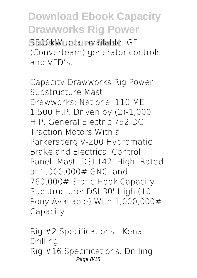**S500kW total available. GE** (Converteam) generator controls and VFD's.

**Capacity Drawworks Rig Power Substructure Mast** Drawworks: National 110 ME 1,500 H.P. Driven by (2)-1,000 H.P. General Electric 752 DC Traction Motors With a Parkersberg V-200 Hydromatic Brake and Electrical Control Panel. Mast: DSI 142' High, Rated at 1,000,000# GNC, and 760,000# Static Hook Capacity. Substructure: DSI 30' High (10' Pony Available) With 1,000,000# Capacity.

**Rig #2 Specifications - Kenai Drilling** Rig #16 Specifications. Drilling Page 8/18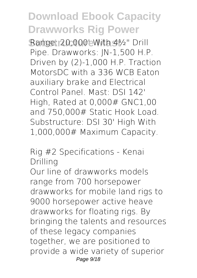**Substructure Mast** Range: 20,000' With 4½" Drill Pipe. Drawworks: JN-1,500 H.P. Driven by (2)-1,000 H.P. Traction MotorsDC with a 336 WCB Eaton auxiliary brake and Electrical Control Panel. Mast: DSI 142' High, Rated at 0,000# GNC1,00 and 750,000# Static Hook Load. Substructure: DSI 30' High With 1,000,000# Maximum Capacity.

**Rig #2 Specifications - Kenai Drilling**

Our line of drawworks models range from 700 horsepower drawworks for mobile land rigs to 9000 horsepower active heave drawworks for floating rigs. By bringing the talents and resources of these legacy companies together, we are positioned to provide a wide variety of superior Page  $9/18$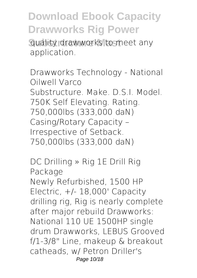**Substructure Manuform Manuform Manuform Concrete and Substructure Inc.** application.

**Drawworks Technology - National Oilwell Varco** Substructure. Make. D.S.I. Model. 750K Self Elevating. Rating. 750,000lbs (333,000 daN) Casing/Rotary Capacity – Irrespective of Setback. 750,000lbs (333,000 daN)

**DC Drilling » Rig 1E Drill Rig Package** Newly Refurbished, 1500 HP Electric,  $+/- 18,000$ ' Capacity drilling rig, Rig is nearly complete after major rebuild Drawworks: National 110 UE 1500HP single drum Drawworks, LEBUS Grooved f/1-3/8" Line, makeup & breakout catheads, w/ Petron Driller's Page 10/18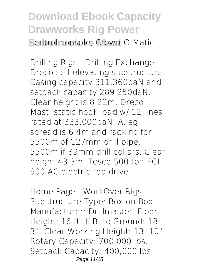**Download Ebook Capacity Drawworks Rig Power Scontrol console, Crown-O-Matic.** 

**Drilling Rigs - Drilling Exchange** Dreco self elevating substructure. Casing capacity 311,360daN and setback capacity 289,250daN. Clear height is 8.22m. Dreco Mast, static hook load w/ 12 lines rated at 333,000daN. A.leg spread is 6.4m and racking for 5500m of 127mm drill pipe, 5500m if 89mm drill collars. Clear height 43.3m. Tesco 500 ton ECI 900 AC electric top drive.

**Home Page | WorkOver Rigs** Substructure Type: Box on Box. Manufacturer: Drillmaster. Floor Height: 16 ft. K.B. to Ground: 18' 3". Clear Working Height: 13' 10". Rotary Capacity: 700,000 lbs. Setback Capacity: 400,000 lbs. Page 11/18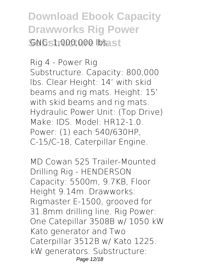**Download Ebook Capacity Drawworks Rig Power**  $GNG$ : 1,000,000 lbs. st

**Rig 4 - Power Rig** Substructure. Capacity: 800,000 lbs. Clear Height: 14' with skid beams and rig mats. Height: 15' with skid beams and rig mats. Hydraulic Power Unit: (Top Drive) Make: IDS. Model: HR12-1.0. Power: (1) each 540/630HP, C-15/C-18, Caterpillar Engine.

**MD Cowan 525 Trailer-Mounted Drilling Rig - HENDERSON** Capacity: 5500m, 9.7KB, Floor Height 9.14m. Drawworks: Rigmaster E-1500, grooved for 31.8mm drilling line. Rig Power: One Catepillar 3508B w/ 1050 kW Kato generator and Two Caterpillar 3512B w/ Kato 1225. kW generators. Substructure: Page 12/18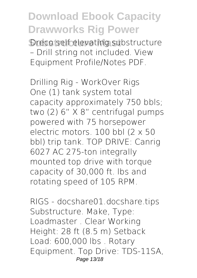**Dreco self elevating substructure** – Drill string not included. View Equipment Profile/Notes PDF.

**Drilling Rig - WorkOver Rigs** One (1) tank system total capacity approximately 750 bbls; two (2) 6" X 8" centrifugal pumps powered with 75 horsepower electric motors. 100 bbl (2 x 50 bbl) trip tank. TOP DRIVE: Canrig 6027 AC 275-ton integrally mounted top drive with torque capacity of 30,000 ft. lbs and rotating speed of 105 RPM.

**RIGS - docshare01.docshare.tips** Substructure. Make, Type: Loadmaster . Clear Working Height: 28 ft (8.5 m) Setback Load: 600,000 lbs . Rotary Equipment. Top Drive: TDS-11SA, Page 13/18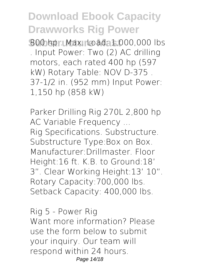**Substructure Mast** 800 hp . Max. Load: 1,000,000 lbs . Input Power: Two (2) AC drilling motors, each rated 400 hp (597 kW) Rotary Table: NOV D-375 . 37-1/2 in. (952 mm) Input Power: 1,150 hp (858 kW)

**Parker Drilling Rig 270L 2,800 hp AC Variable Frequency ...** Rig Specifications. Substructure. Substructure Type:Box on Box. Manufacturer:Drillmaster. Floor Height:16 ft. K.B. to Ground:18' 3". Clear Working Height:13' 10". Rotary Capacity:700,000 lbs. Setback Capacity: 400,000 lbs.

**Rig 5 - Power Rig** Want more information? Please use the form below to submit your inquiry. Our team will respond within 24 hours. Page 14/18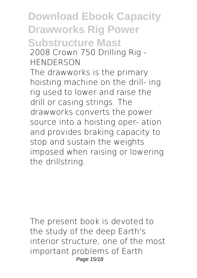**Download Ebook Capacity Drawworks Rig Power Substructure Mast 2008 Crown 750 Drilling Rig - HENDERSON** The drawworks is the primary hoisting machine on the drill- ing rig used to lower and raise the drill or casing strings. The drawworks converts the power source into a hoisting oper- ation and provides braking capacity to stop and sustain the weights imposed when raising or lowering the drillstring.

The present book is devoted to the study of the deep Earth's interior structure, one of the most important problems of Earth Page 15/18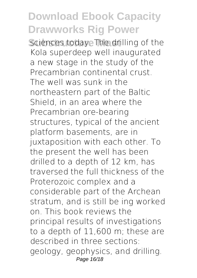**Sciences today. The drilling of the** Kola superdeep well inaugurated a new stage in the study of the Precambrian continental crust. The well was sunk in the northeastern part of the Baltic Shield, in an area where the Precambrian ore-bearing structures, typical of the ancient platform basements, are in juxtaposition with each other. To the present the well has been drilled to a depth of 12 km, has traversed the full thickness of the Proterozoic complex and a considerable part of the Archean stratum, and is still be ing worked on. This book reviews the principal results of investigations to a depth of 11,600 m; these are described in three sections: geology, geophysics, and drilling. Page 16/18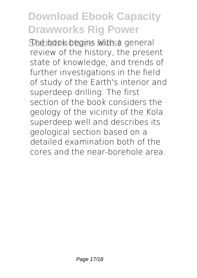The book begins with a general review of the history, the present state of knowledge, and trends of further investigations in the field of study of the Earth's interior and superdeep drilling. The first section of the book considers the geology of the vicinity of the Kola superdeep well and describes its geological section based on a detailed examination both of the cores and the near-borehole area.